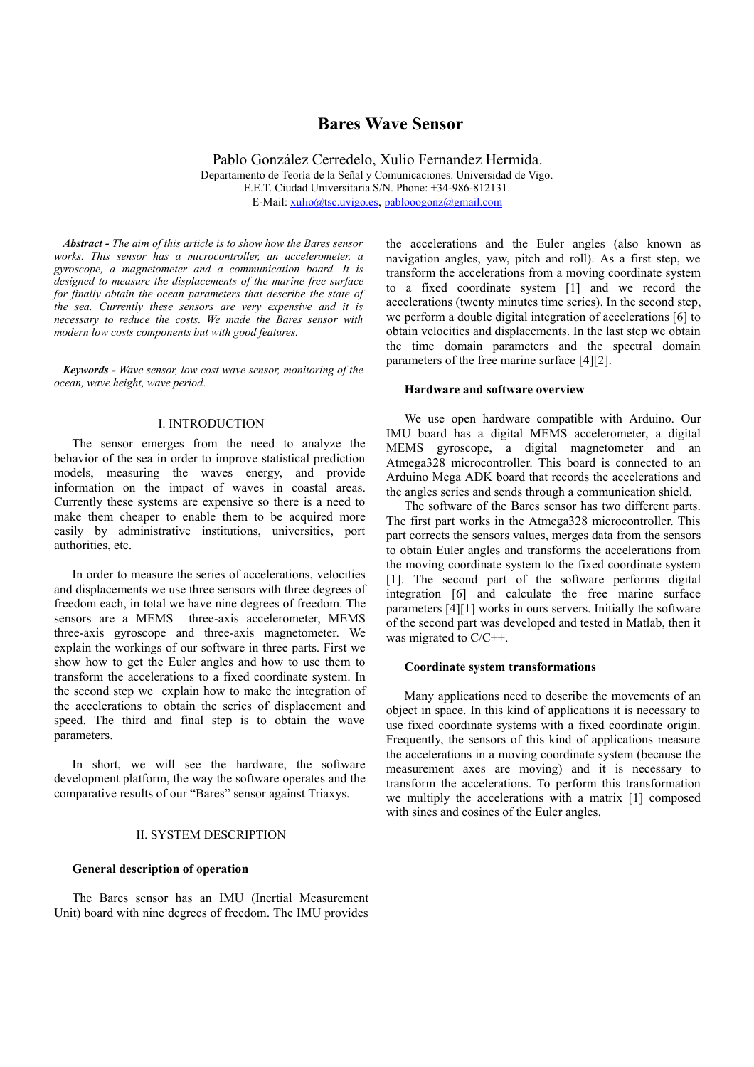# **Bares Wave Sensor**

Pablo González Cerredelo, Xulio Fernandez Hermida. Departamento de Teoría de la Señal y Comunicaciones. Universidad de Vigo. E.E.T. Ciudad Universitaria S/N. Phone: +34-986-812131. E-Mail: [xulio@tsc.uvigo.es](mailto:xulio@tsc.uvigo.es), [pablooogonz@gmail.com](mailto:fmartin@tsc.uvigo.es)

*Abstract - The aim of this article is to show how the Bares sensor works. This sensor has a microcontroller, an accelerometer, a gyroscope, a magnetometer and a communication board. It is designed to measure the displacements of the marine free surface for finally obtain the ocean parameters that describe the state of the sea. Currently these sensors are very expensive and it is necessary to reduce the costs. We made the Bares sensor with modern low costs components but with good features.*

*Keywords - Wave sensor, low cost wave sensor, monitoring of the ocean, wave height, wave period.*

## I. INTRODUCTION

The sensor emerges from the need to analyze the behavior of the sea in order to improve statistical prediction models, measuring the waves energy, and provide information on the impact of waves in coastal areas. Currently these systems are expensive so there is a need to make them cheaper to enable them to be acquired more easily by administrative institutions, universities, port authorities, etc.

In order to measure the series of accelerations, velocities and displacements we use three sensors with three degrees of freedom each, in total we have nine degrees of freedom. The sensors are a MEMS three-axis accelerometer, MEMS three-axis gyroscope and three-axis magnetometer. We explain the workings of our software in three parts. First we show how to get the Euler angles and how to use them to transform the accelerations to a fixed coordinate system. In the second step we explain how to make the integration of the accelerations to obtain the series of displacement and speed. The third and final step is to obtain the wave parameters.

In short, we will see the hardware, the software development platform, the way the software operates and the comparative results of our "Bares" sensor against Triaxys.

## II. SYSTEM DESCRIPTION

## **General description of operation**

The Bares sensor has an IMU (Inertial Measurement Unit) board with nine degrees of freedom. The IMU provides

the accelerations and the Euler angles (also known as navigation angles, yaw, pitch and roll). As a first step, we transform the accelerations from a moving coordinate system to a fixed coordinate system [1] and we record the accelerations (twenty minutes time series). In the second step, we perform a double digital integration of accelerations [6] to obtain velocities and displacements. In the last step we obtain the time domain parameters and the spectral domain parameters of the free marine surface [4][2].

#### **Hardware and software overview**

We use open hardware compatible with Arduino. Our IMU board has a digital MEMS accelerometer, a digital MEMS gyroscope, a digital magnetometer and an Atmega328 microcontroller. This board is connected to an Arduino Mega ADK board that records the accelerations and the angles series and sends through a communication shield.

The software of the Bares sensor has two different parts. The first part works in the Atmega328 microcontroller. This part corrects the sensors values, merges data from the sensors to obtain Euler angles and transforms the accelerations from the moving coordinate system to the fixed coordinate system [1]. The second part of the software performs digital integration [6] and calculate the free marine surface parameters [4][1] works in ours servers. Initially the software of the second part was developed and tested in Matlab, then it was migrated to C/C++.

#### **Coordinate system transformations**

Many applications need to describe the movements of an object in space. In this kind of applications it is necessary to use fixed coordinate systems with a fixed coordinate origin. Frequently, the sensors of this kind of applications measure the accelerations in a moving coordinate system (because the measurement axes are moving) and it is necessary to transform the accelerations. To perform this transformation we multiply the accelerations with a matrix [1] composed with sines and cosines of the Euler angles.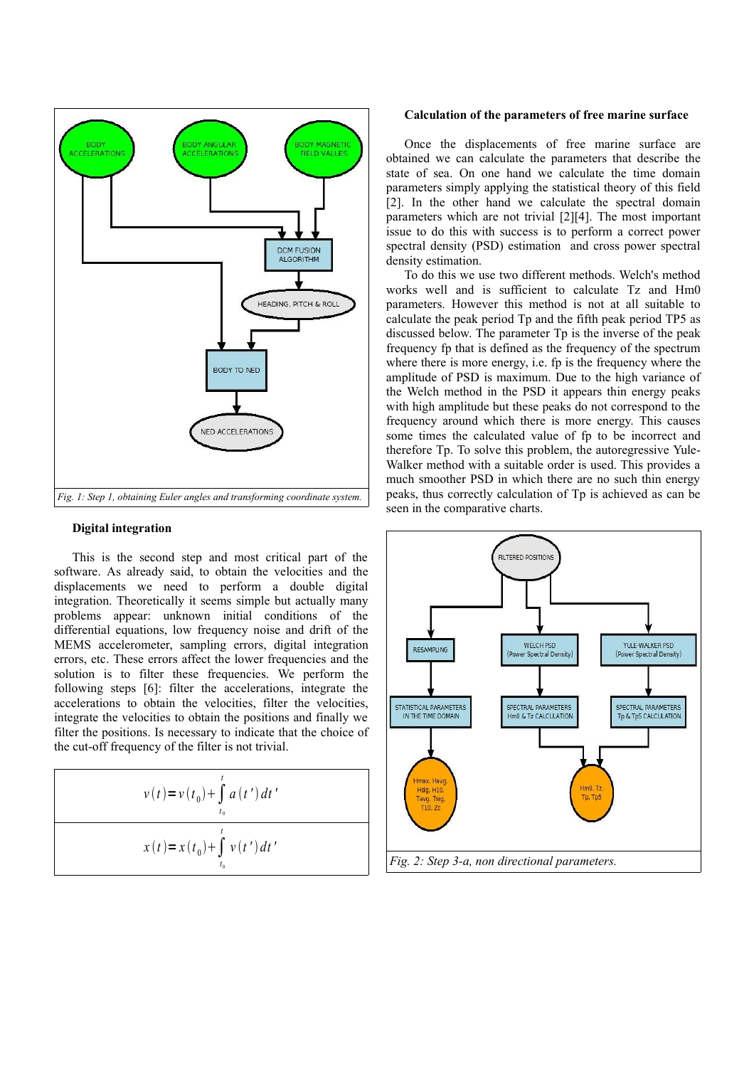

## **Digital integration**

This is the second step and most critical part of the software. As already said, to obtain the velocities and the displacements we need to perform a double digital integration. Theoretically it seems simple but actually many problems appear: unknown initial conditions of the differential equations, low frequency noise and drift of the MEMS accelerometer, sampling errors, digital integration errors, etc. These errors affect the lower frequencies and the solution is to filter these frequencies. We perform the following steps [6]: filter the accelerations, integrate the accelerations to obtain the velocities, filter the velocities, integrate the velocities to obtain the positions and finally we filter the positions. Is necessary to indicate that the choice of the cut-off frequency of the filter is not trivial.

$$
v(t) = v(t_0) + \int_{t_0}^{t} a(t') dt'
$$
  

$$
x(t) = x(t_0) + \int_{t_0}^{t} v(t') dt'
$$

#### **Calculation of the parameters of free marine surface**

Once the displacements of free marine surface are obtained we can calculate the parameters that describe the state of sea. On one hand we calculate the time domain parameters simply applying the statistical theory of this field [2]. In the other hand we calculate the spectral domain parameters which are not trivial [2][4]. The most important issue to do this with success is to perform a correct power spectral density (PSD) estimation and cross power spectral density estimation.

To do this we use two different methods. Welch's method works well and is sufficient to calculate Tz and Hm0 parameters. However this method is not at all suitable to calculate the peak period Tp and the fifth peak period TP5 as discussed below. The parameter Tp is the inverse of the peak frequency fp that is defined as the frequency of the spectrum where there is more energy, i.e. fp is the frequency where the amplitude of PSD is maximum. Due to the high variance of the Welch method in the PSD it appears thin energy peaks with high amplitude but these peaks do not correspond to the frequency around which there is more energy. This causes some times the calculated value of fp to be incorrect and therefore Tp. To solve this problem, the autoregressive Yule-Walker method with a suitable order is used. This provides a much smoother PSD in which there are no such thin energy peaks, thus correctly calculation of Tp is achieved as can be seen in the comparative charts.

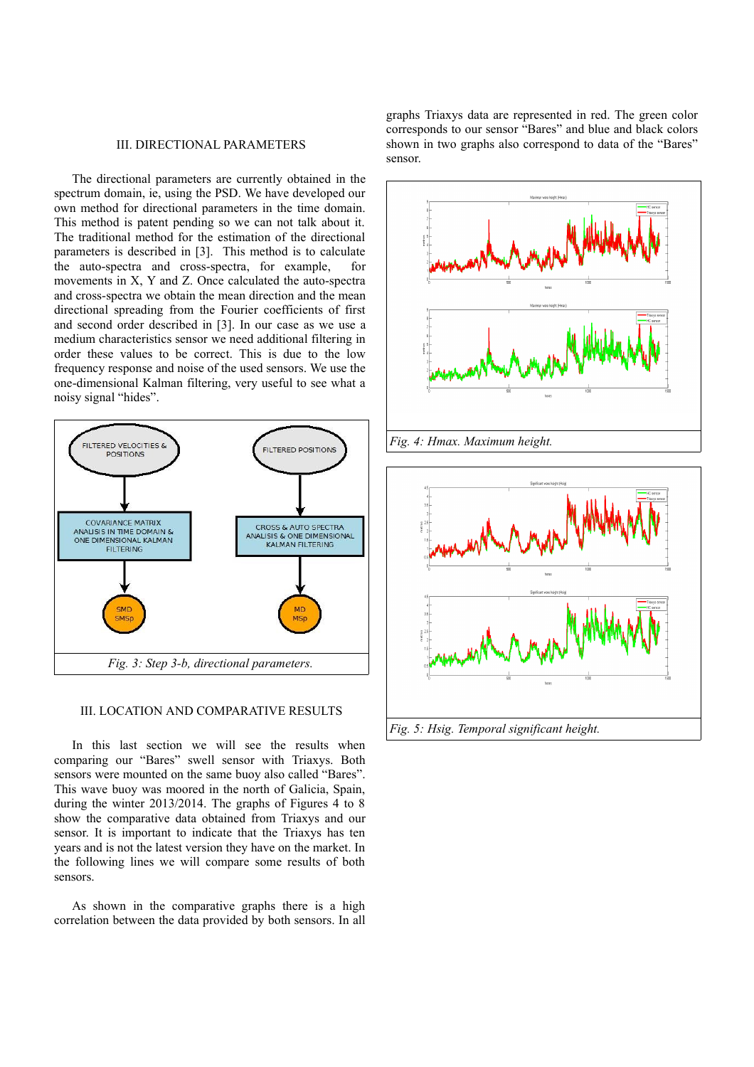# III. DIRECTIONAL PARAMETERS

The directional parameters are currently obtained in the spectrum domain, ie, using the PSD. We have developed our own method for directional parameters in the time domain. This method is patent pending so we can not talk about it. The traditional method for the estimation of the directional parameters is described in [3]. This method is to calculate the auto-spectra and cross-spectra, for example, for movements in X, Y and Z. Once calculated the auto-spectra and cross-spectra we obtain the mean direction and the mean directional spreading from the Fourier coefficients of first and second order described in [3]. In our case as we use a medium characteristics sensor we need additional filtering in order these values to be correct. This is due to the low frequency response and noise of the used sensors. We use the one-dimensional Kalman filtering, very useful to see what a noisy signal "hides".



## III. LOCATION AND COMPARATIVE RESULTS

In this last section we will see the results when comparing our "Bares" swell sensor with Triaxys. Both sensors were mounted on the same buoy also called "Bares". This wave buoy was moored in the north of Galicia, Spain, during the winter 2013/2014. The graphs of Figures 4 to 8 show the comparative data obtained from Triaxys and our sensor. It is important to indicate that the Triaxys has ten years and is not the latest version they have on the market. In the following lines we will compare some results of both sensors.

As shown in the comparative graphs there is a high correlation between the data provided by both sensors. In all

graphs Triaxys data are represented in red. The green color corresponds to our sensor "Bares" and blue and black colors shown in two graphs also correspond to data of the "Bares" sensor.